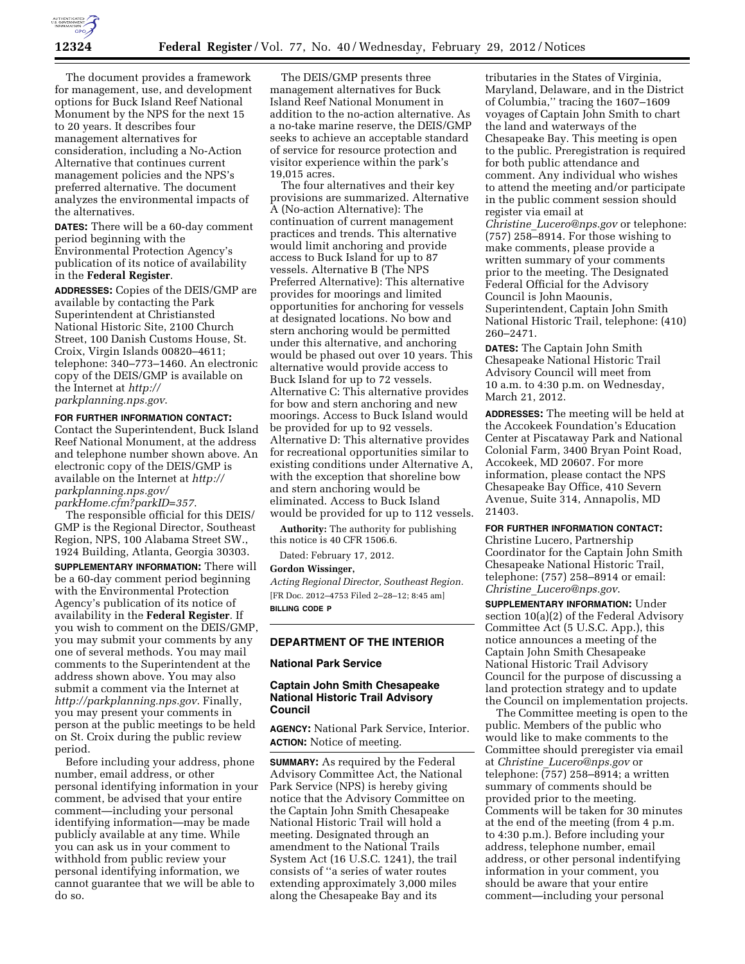

The document provides a framework for management, use, and development options for Buck Island Reef National Monument by the NPS for the next 15 to 20 years. It describes four management alternatives for consideration, including a No-Action Alternative that continues current management policies and the NPS's preferred alternative. The document analyzes the environmental impacts of the alternatives.

**DATES:** There will be a 60-day comment period beginning with the Environmental Protection Agency's publication of its notice of availability in the **Federal Register**.

**ADDRESSES:** Copies of the DEIS/GMP are available by contacting the Park Superintendent at Christiansted National Historic Site, 2100 Church Street, 100 Danish Customs House, St. Croix, Virgin Islands 00820–4611; telephone: 340–773–1460. An electronic copy of the DEIS/GMP is available on the Internet at *[http://](http://parkplanning.nps.gov)  [parkplanning.nps.gov](http://parkplanning.nps.gov)*.

#### **FOR FURTHER INFORMATION CONTACT:**

Contact the Superintendent, Buck Island Reef National Monument, at the address and telephone number shown above. An electronic copy of the DEIS/GMP is available on the Internet at *[http://](http://parkplanning.nps.gov/parkHome.cfm?parkID=357) [parkplanning.nps.gov/](http://parkplanning.nps.gov/parkHome.cfm?parkID=357)  [parkHome.cfm?parkID=357](http://parkplanning.nps.gov/parkHome.cfm?parkID=357)*.

The responsible official for this DEIS/ GMP is the Regional Director, Southeast Region, NPS, 100 Alabama Street SW., 1924 Building, Atlanta, Georgia 30303. **SUPPLEMENTARY INFORMATION:** There will be a 60-day comment period beginning with the Environmental Protection Agency's publication of its notice of availability in the **Federal Register**. If you wish to comment on the DEIS/GMP, you may submit your comments by any one of several methods. You may mail comments to the Superintendent at the address shown above. You may also submit a comment via the Internet at *<http://parkplanning.nps.gov>*. Finally, you may present your comments in person at the public meetings to be held on St. Croix during the public review period.

Before including your address, phone number, email address, or other personal identifying information in your comment, be advised that your entire comment—including your personal identifying information—may be made publicly available at any time. While you can ask us in your comment to withhold from public review your personal identifying information, we cannot guarantee that we will be able to do so.

The DEIS/GMP presents three management alternatives for Buck Island Reef National Monument in addition to the no-action alternative. As a no-take marine reserve, the DEIS/GMP seeks to achieve an acceptable standard of service for resource protection and visitor experience within the park's 19,015 acres.

The four alternatives and their key provisions are summarized. Alternative A (No-action Alternative): The continuation of current management practices and trends. This alternative would limit anchoring and provide access to Buck Island for up to 87 vessels. Alternative B (The NPS Preferred Alternative): This alternative provides for moorings and limited opportunities for anchoring for vessels at designated locations. No bow and stern anchoring would be permitted under this alternative, and anchoring would be phased out over 10 years. This alternative would provide access to Buck Island for up to 72 vessels. Alternative C: This alternative provides for bow and stern anchoring and new moorings. Access to Buck Island would be provided for up to 92 vessels. Alternative D: This alternative provides for recreational opportunities similar to existing conditions under Alternative A, with the exception that shoreline bow and stern anchoring would be eliminated. Access to Buck Island would be provided for up to 112 vessels.

**Authority:** The authority for publishing this notice is 40 CFR 1506.6.

Dated: February 17, 2012.

#### **Gordon Wissinger,**

*Acting Regional Director, Southeast Region.*  [FR Doc. 2012–4753 Filed 2–28–12; 8:45 am] **BILLING CODE P** 

## **DEPARTMENT OF THE INTERIOR**

#### **National Park Service**

#### **Captain John Smith Chesapeake National Historic Trail Advisory Council**

**AGENCY:** National Park Service, Interior. **ACTION:** Notice of meeting.

**SUMMARY:** As required by the Federal Advisory Committee Act, the National Park Service (NPS) is hereby giving notice that the Advisory Committee on the Captain John Smith Chesapeake National Historic Trail will hold a meeting. Designated through an amendment to the National Trails System Act (16 U.S.C. 1241), the trail consists of ''a series of water routes extending approximately 3,000 miles along the Chesapeake Bay and its

tributaries in the States of Virginia, Maryland, Delaware, and in the District of Columbia,'' tracing the 1607–1609 voyages of Captain John Smith to chart the land and waterways of the Chesapeake Bay. This meeting is open to the public. Preregistration is required for both public attendance and comment. Any individual who wishes to attend the meeting and/or participate in the public comment session should register via email at *Christine*\_*[Lucero@nps.gov](mailto:Christine_Lucero@nps.gov)* or telephone: (757) 258–8914. For those wishing to make comments, please provide a written summary of your comments prior to the meeting. The Designated Federal Official for the Advisory Council is John Maounis, Superintendent, Captain John Smith National Historic Trail, telephone: (410) 260–2471.

**DATES:** The Captain John Smith Chesapeake National Historic Trail Advisory Council will meet from 10 a.m. to 4:30 p.m. on Wednesday, March 21, 2012.

**ADDRESSES:** The meeting will be held at the Accokeek Foundation's Education Center at Piscataway Park and National Colonial Farm, 3400 Bryan Point Road, Accokeek, MD 20607. For more information, please contact the NPS Chesapeake Bay Office, 410 Severn Avenue, Suite 314, Annapolis, MD 21403.

**FOR FURTHER INFORMATION CONTACT:**  Christine Lucero, Partnership Coordinator for the Captain John Smith Chesapeake National Historic Trail, telephone: (757) 258–8914 or email: *Christine*\_*[Lucero@nps.gov](mailto:Christine_Lucero@nps.gov)*.

**SUPPLEMENTARY INFORMATION:** Under section 10(a)(2) of the Federal Advisory Committee Act (5 U.S.C. App.), this notice announces a meeting of the Captain John Smith Chesapeake National Historic Trail Advisory Council for the purpose of discussing a land protection strategy and to update the Council on implementation projects.

The Committee meeting is open to the public. Members of the public who would like to make comments to the Committee should preregister via email at *Christine*\_*[Lucero@nps.gov](mailto:Christine_Lucero@nps.gov)* or telephone: (757) 258–8914; a written summary of comments should be provided prior to the meeting. Comments will be taken for 30 minutes at the end of the meeting (from 4 p.m. to 4:30 p.m.). Before including your address, telephone number, email address, or other personal indentifying information in your comment, you should be aware that your entire comment—including your personal